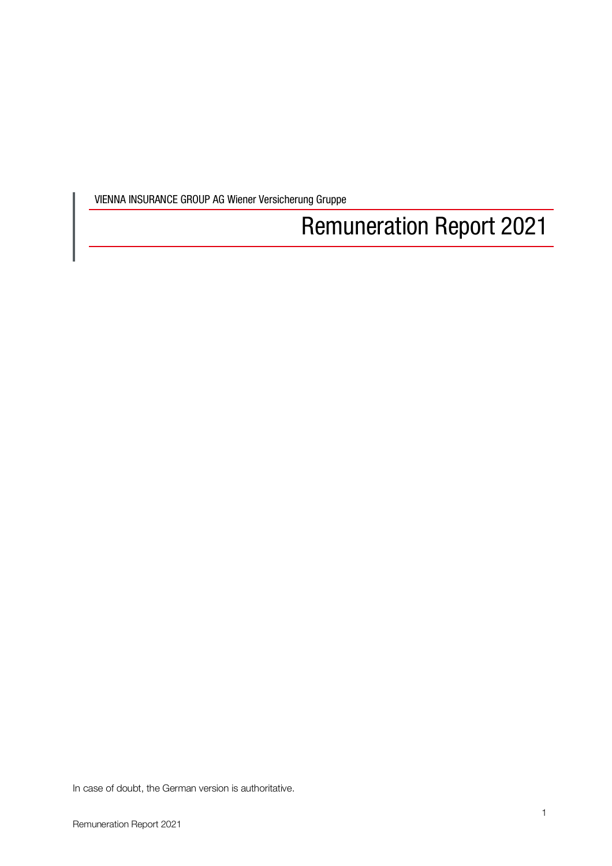VIENNA INSURANCE GROUP AG Wiener Versicherung Gruppe

# Remuneration Report 2021

In case of doubt, the German version is authoritative.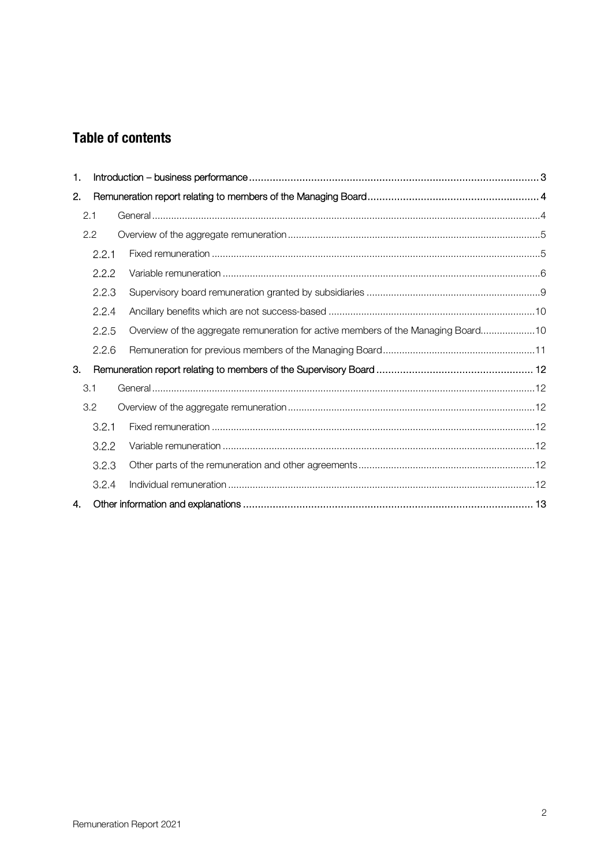## **Table of contents**

| 1. |       |                                                                                   |  |
|----|-------|-----------------------------------------------------------------------------------|--|
| 2. |       |                                                                                   |  |
|    | 2.1   |                                                                                   |  |
|    | 2.2   |                                                                                   |  |
|    | 2.2.1 |                                                                                   |  |
|    | 2.2.2 |                                                                                   |  |
|    | 2.2.3 |                                                                                   |  |
|    | 2.2.4 |                                                                                   |  |
|    | 2.2.5 | Overview of the aggregate remuneration for active members of the Managing Board10 |  |
|    | 2.2.6 |                                                                                   |  |
| 3. |       |                                                                                   |  |
|    | 3.1   |                                                                                   |  |
|    | 3.2   |                                                                                   |  |
|    | 3.2.1 |                                                                                   |  |
|    | 3.2.2 |                                                                                   |  |
|    | 3.2.3 |                                                                                   |  |
|    | 3.2.4 |                                                                                   |  |
| 4. |       |                                                                                   |  |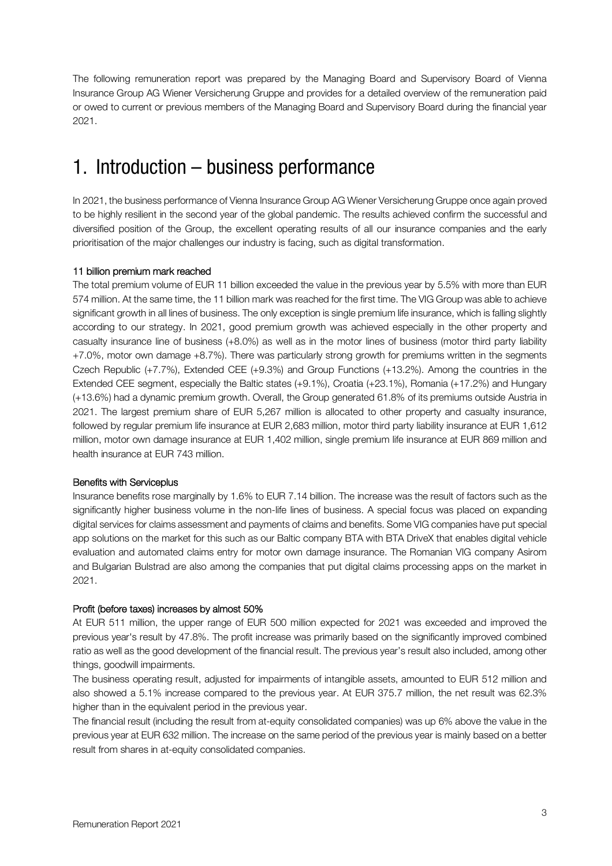The following remuneration report was prepared by the Managing Board and Supervisory Board of Vienna Insurance Group AG Wiener Versicherung Gruppe and provides for a detailed overview of the remuneration paid or owed to current or previous members of the Managing Board and Supervisory Board during the financial year 2021.

## 1. Introduction – business performance

In 2021, the business performance of Vienna Insurance Group AG Wiener Versicherung Gruppe once again proved to be highly resilient in the second year of the global pandemic. The results achieved confirm the successful and diversified position of the Group, the excellent operating results of all our insurance companies and the early prioritisation of the major challenges our industry is facing, such as digital transformation.

## 11 billion premium mark reached

The total premium volume of EUR 11 billion exceeded the value in the previous year by 5.5% with more than EUR 574 million. At the same time, the 11 billion mark was reached for the first time. The VIG Group was able to achieve significant growth in all lines of business. The only exception is single premium life insurance, which is falling slightly according to our strategy. In 2021, good premium growth was achieved especially in the other property and casualty insurance line of business (+8.0%) as well as in the motor lines of business (motor third party liability +7.0%, motor own damage +8.7%). There was particularly strong growth for premiums written in the segments Czech Republic (+7.7%), Extended CEE (+9.3%) and Group Functions (+13.2%). Among the countries in the Extended CEE segment, especially the Baltic states (+9.1%), Croatia (+23.1%), Romania (+17.2%) and Hungary (+13.6%) had a dynamic premium growth. Overall, the Group generated 61.8% of its premiums outside Austria in 2021. The largest premium share of EUR 5,267 million is allocated to other property and casualty insurance, followed by regular premium life insurance at EUR 2,683 million, motor third party liability insurance at EUR 1,612 million, motor own damage insurance at EUR 1,402 million, single premium life insurance at EUR 869 million and health insurance at EUR 743 million.

## Benefits with Serviceplus

Insurance benefits rose marginally by 1.6% to EUR 7.14 billion. The increase was the result of factors such as the significantly higher business volume in the non-life lines of business. A special focus was placed on expanding digital services for claims assessment and payments of claims and benefits. Some VIG companies have put special app solutions on the market for this such as our Baltic company BTA with BTA DriveX that enables digital vehicle evaluation and automated claims entry for motor own damage insurance. The Romanian VIG company Asirom and Bulgarian Bulstrad are also among the companies that put digital claims processing apps on the market in 2021.

## Profit (before taxes) increases by almost 50%

At EUR 511 million, the upper range of EUR 500 million expected for 2021 was exceeded and improved the previous year's result by 47.8%. The profit increase was primarily based on the significantly improved combined ratio as well as the good development of the financial result. The previous year's result also included, among other things, goodwill impairments.

The business operating result, adjusted for impairments of intangible assets, amounted to EUR 512 million and also showed a 5.1% increase compared to the previous year. At EUR 375.7 million, the net result was 62.3% higher than in the equivalent period in the previous year.

The financial result (including the result from at-equity consolidated companies) was up 6% above the value in the previous year at EUR 632 million. The increase on the same period of the previous year is mainly based on a better result from shares in at-equity consolidated companies.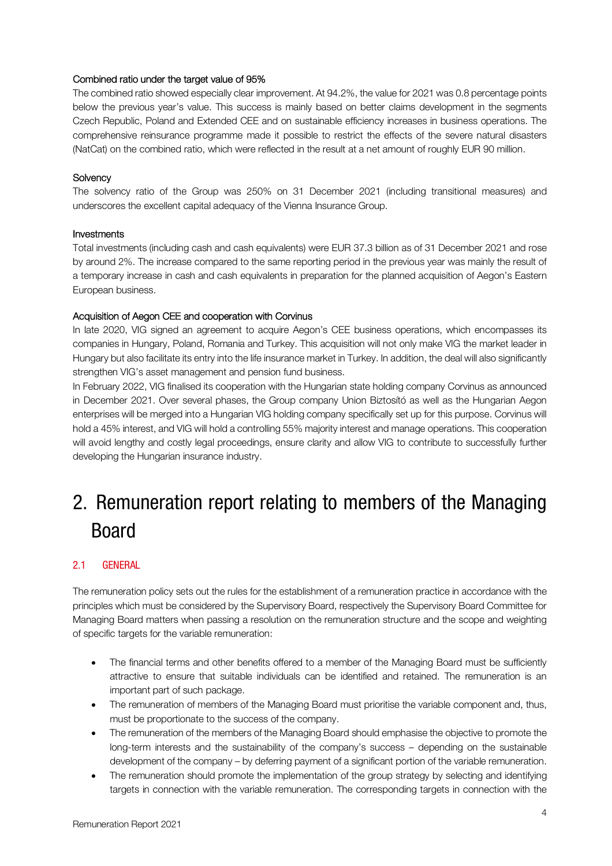## Combined ratio under the target value of 95%

The combined ratio showed especially clear improvement. At 94.2%, the value for 2021 was 0.8 percentage points below the previous year's value. This success is mainly based on better claims development in the segments Czech Republic, Poland and Extended CEE and on sustainable efficiency increases in business operations. The comprehensive reinsurance programme made it possible to restrict the effects of the severe natural disasters (NatCat) on the combined ratio, which were reflected in the result at a net amount of roughly EUR 90 million.

#### **Solvency**

The solvency ratio of the Group was 250% on 31 December 2021 (including transitional measures) and underscores the excellent capital adequacy of the Vienna Insurance Group.

#### Investments

Total investments (including cash and cash equivalents) were EUR 37.3 billion as of 31 December 2021 and rose by around 2%. The increase compared to the same reporting period in the previous year was mainly the result of a temporary increase in cash and cash equivalents in preparation for the planned acquisition of Aegon's Eastern European business.

#### Acquisition of Aegon CEE and cooperation with Corvinus

In late 2020, VIG signed an agreement to acquire Aegon's CEE business operations, which encompasses its companies in Hungary, Poland, Romania and Turkey. This acquisition will not only make VIG the market leader in Hungary but also facilitate its entry into the life insurance market in Turkey. In addition, the deal will also significantly strengthen VIG's asset management and pension fund business.

In February 2022, VIG finalised its cooperation with the Hungarian state holding company Corvinus as announced in December 2021. Over several phases, the Group company Union Biztosító as well as the Hungarian Aegon enterprises will be merged into a Hungarian VIG holding company specifically set up for this purpose. Corvinus will hold a 45% interest, and VIG will hold a controlling 55% majority interest and manage operations. This cooperation will avoid lengthy and costly legal proceedings, ensure clarity and allow VIG to contribute to successfully further developing the Hungarian insurance industry.

# 2. Remuneration report relating to members of the Managing Board

## 2.1 GENERAL

The remuneration policy sets out the rules for the establishment of a remuneration practice in accordance with the principles which must be considered by the Supervisory Board, respectively the Supervisory Board Committee for Managing Board matters when passing a resolution on the remuneration structure and the scope and weighting of specific targets for the variable remuneration:

- The financial terms and other benefits offered to a member of the Managing Board must be sufficiently attractive to ensure that suitable individuals can be identified and retained. The remuneration is an important part of such package.
- The remuneration of members of the Managing Board must prioritise the variable component and, thus, must be proportionate to the success of the company.
- The remuneration of the members of the Managing Board should emphasise the objective to promote the long-term interests and the sustainability of the company's success – depending on the sustainable development of the company – by deferring payment of a significant portion of the variable remuneration.
- The remuneration should promote the implementation of the group strategy by selecting and identifying targets in connection with the variable remuneration. The corresponding targets in connection with the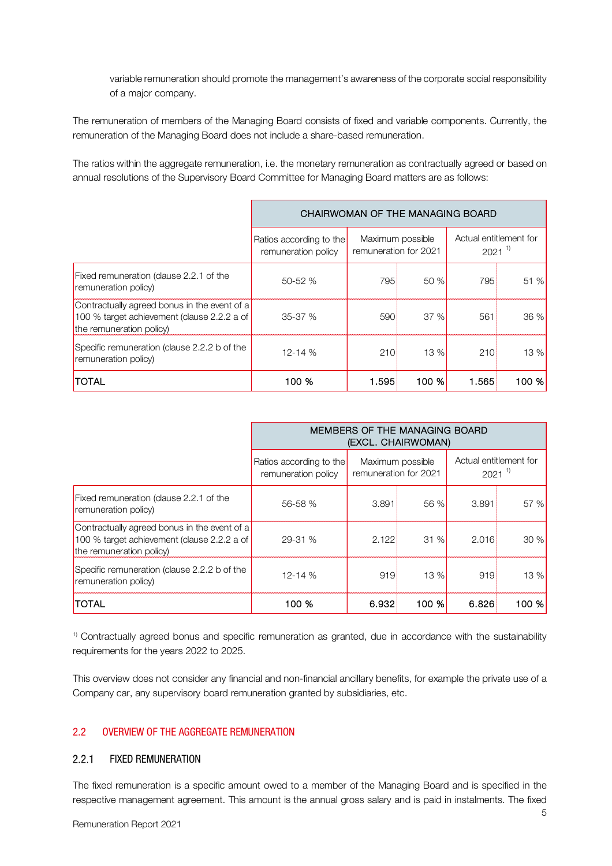variable remuneration should promote the management's awareness of the corporate social responsibility of a major company.

The remuneration of members of the Managing Board consists of fixed and variable components. Currently, the remuneration of the Managing Board does not include a share-based remuneration.

The ratios within the aggregate remuneration, i.e. the monetary remuneration as contractually agreed or based on annual resolutions of the Supervisory Board Committee for Managing Board matters are as follows:

|                                                                                                                         | CHAIRWOMAN OF THE MANAGING BOARD               |                       |                  |                                      |       |
|-------------------------------------------------------------------------------------------------------------------------|------------------------------------------------|-----------------------|------------------|--------------------------------------|-------|
|                                                                                                                         | Ratios according to the<br>remuneration policy | remuneration for 2021 | Maximum possible | Actual entitlement for<br>$2021^{1}$ |       |
| Fixed remuneration (clause 2.2.1 of the<br>remuneration policy)                                                         | 50-52 %                                        | 795                   | 50%              | 795                                  | 51%   |
| Contractually agreed bonus in the event of a<br>100 % target achievement (clause 2.2.2 a of<br>the remuneration policy) | $35-37%$                                       | 590                   | 37%              | 561                                  | 36%   |
| Specific remuneration (clause 2.2.2 b of the<br>remuneration policy)                                                    | $12 - 14%$                                     | 210                   | 13 %             | <b>210</b>                           | 13%   |
| TOTAL                                                                                                                   | 100 %                                          | 1.595                 | 100 %            | 1.565                                | 100 % |

|                                                                                                                         | MEMBERS OF THE MANAGING BOARD<br>(EXCL. CHAIRWOMAN) |                       |                  |                                      |       |
|-------------------------------------------------------------------------------------------------------------------------|-----------------------------------------------------|-----------------------|------------------|--------------------------------------|-------|
|                                                                                                                         | Ratios according to the<br>remuneration policy      | remuneration for 2021 | Maximum possible | Actual entitlement for<br>$2021^{1}$ |       |
| Fixed remuneration (clause 2.2.1 of the<br>remuneration policy)                                                         | 56-58 %                                             | 3.891                 | 56 %             | 3.891                                | 57 %  |
| Contractually agreed bonus in the event of a<br>100 % target achievement (clause 2.2.2 a of<br>the remuneration policy) | $29 - 31 %$                                         | 2.122                 | 31%              | 2.016                                | 30 %  |
| Specific remuneration (clause 2.2.2 b of the<br>remuneration policy)                                                    | $12 - 14%$                                          | 919                   | 13%              | 919                                  | 13 %  |
| <b>TOTAL</b>                                                                                                            | 100 %                                               | 6.932                 | 100 %            | 6.826                                | 100 % |

<sup>1)</sup> Contractually agreed bonus and specific remuneration as granted, due in accordance with the sustainability requirements for the years 2022 to 2025.

This overview does not consider any financial and non-financial ancillary benefits, for example the private use of a Company car, any supervisory board remuneration granted by subsidiaries, etc.

## 2.2 OVERVIEW OF THE AGGREGATE REMUNERATION

#### $2.2.1$ FIXED REMUNERATION

The fixed remuneration is a specific amount owed to a member of the Managing Board and is specified in the respective management agreement. This amount is the annual gross salary and is paid in instalments. The fixed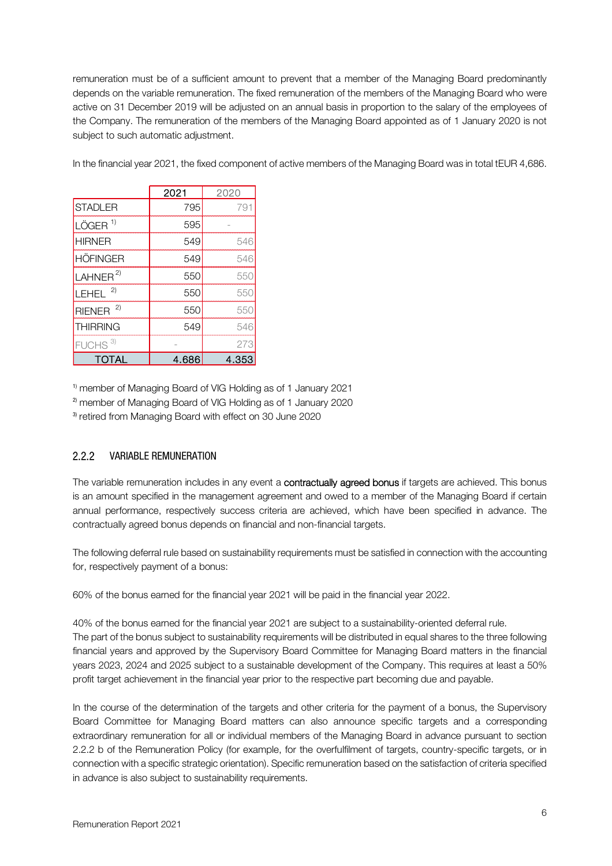remuneration must be of a sufficient amount to prevent that a member of the Managing Board predominantly depends on the variable remuneration. The fixed remuneration of the members of the Managing Board who were active on 31 December 2019 will be adjusted on an annual basis in proportion to the salary of the employees of the Company. The remuneration of the members of the Managing Board appointed as of 1 January 2020 is not subject to such automatic adjustment.

In the financial year 2021, the fixed component of active members of the Managing Board was in total tEUR 4,686.

|                       | 2021  | 2020  |
|-----------------------|-------|-------|
| <b>STADLER</b>        | 795   | 79.   |
| $LÖGER$ <sup>1)</sup> | 595   |       |
| <b>HIRNER</b>         | 549   | 546   |
| <b>HÖFINGER</b>       | 549   | 546   |
| LAHNER $^{2)}$        | 550   | 550   |
| 2)<br>LEHEL           | 550   | 550   |
| RIENER $^{2)}$        | 550   | 550   |
| <b>THIRRING</b>       | 549   | 546   |
| FUCHS <sup>3)</sup>   |       | 273   |
| TOTAL                 | 4.686 | 4.353 |

1) member of Managing Board of VIG Holding as of 1 January 2021 2) member of Managing Board of VIG Holding as of 1 January 2020 3) retired from Managing Board with effect on 30 June 2020

#### $2.2.2$ VARIABLE REMUNERATION

The variable remuneration includes in any event a **contractually agreed bonus** if targets are achieved. This bonus is an amount specified in the management agreement and owed to a member of the Managing Board if certain annual performance, respectively success criteria are achieved, which have been specified in advance. The contractually agreed bonus depends on financial and non-financial targets.

The following deferral rule based on sustainability requirements must be satisfied in connection with the accounting for, respectively payment of a bonus:

60% of the bonus earned for the financial year 2021 will be paid in the financial year 2022.

40% of the bonus earned for the financial year 2021 are subject to a sustainability-oriented deferral rule. The part of the bonus subject to sustainability requirements will be distributed in equal shares to the three following financial years and approved by the Supervisory Board Committee for Managing Board matters in the financial years 2023, 2024 and 2025 subject to a sustainable development of the Company. This requires at least a 50% profit target achievement in the financial year prior to the respective part becoming due and payable.

In the course of the determination of the targets and other criteria for the payment of a bonus, the Supervisory Board Committee for Managing Board matters can also announce specific targets and a corresponding extraordinary remuneration for all or individual members of the Managing Board in advance pursuant to section 2.2.2 b of the Remuneration Policy (for example, for the overfulfilment of targets, country-specific targets, or in connection with a specific strategic orientation). Specific remuneration based on the satisfaction of criteria specified in advance is also subject to sustainability requirements.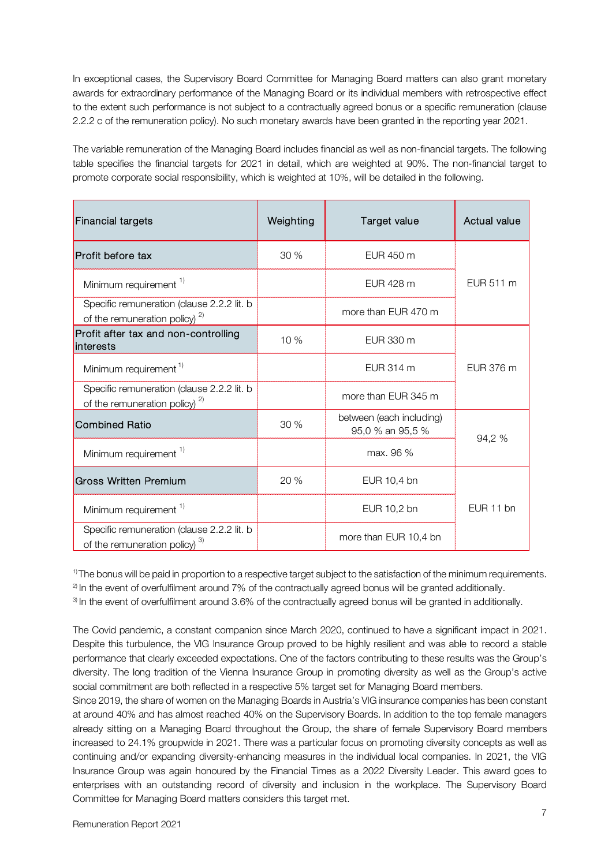In exceptional cases, the Supervisory Board Committee for Managing Board matters can also grant monetary awards for extraordinary performance of the Managing Board or its individual members with retrospective effect to the extent such performance is not subject to a contractually agreed bonus or a specific remuneration (clause 2.2.2 c of the remuneration policy). No such monetary awards have been granted in the reporting year 2021.

The variable remuneration of the Managing Board includes financial as well as non-financial targets. The following table specifies the financial targets for 2021 in detail, which are weighted at 90%. The non-financial target to promote corporate social responsibility, which is weighted at 10%, will be detailed in the following.

| <b>Financial targets</b>                                                          | Weighting | Target value                                 | Actual value |  |
|-----------------------------------------------------------------------------------|-----------|----------------------------------------------|--------------|--|
| Profit before tax                                                                 | 30%       | EUR 450 m                                    |              |  |
| Minimum requirement <sup>1)</sup>                                                 |           | EUR 428 m                                    | EUR 511 m    |  |
| Specific remuneration (clause 2.2.2 lit. b<br>of the remuneration policy) $^{2)}$ |           | more than EUR 470 m                          |              |  |
| Profit after tax and non-controlling<br>interests                                 | 10 %      | EUR 330 m                                    |              |  |
| Minimum requirement <sup>1)</sup>                                                 |           | EUR 314 m                                    | EUR 376 m    |  |
| Specific remuneration (clause 2.2.2 lit. b<br>of the remuneration policy) $^{2)}$ |           | more than EUR 345 m                          |              |  |
| <b>Combined Ratio</b>                                                             | 30 %      | between (each including)<br>95,0 % an 95,5 % | 94,2 %       |  |
| Minimum requirement <sup>1)</sup>                                                 |           | max. 96 %                                    |              |  |
| <b>Gross Written Premium</b>                                                      | 20 %      | EUR 10,4 bn                                  |              |  |
| Minimum requirement <sup>1)</sup>                                                 |           | EUR 10,2 bn                                  | EUR 11 bn    |  |
| Specific remuneration (clause 2.2.2 lit. b<br>of the remuneration policy) $3)$    |           | more than EUR 10,4 bn                        |              |  |

<sup>1)</sup> The bonus will be paid in proportion to a respective target subject to the satisfaction of the minimum requirements. 2) In the event of overfulfilment around 7% of the contractually agreed bonus will be granted additionally.

3) In the event of overfulfilment around 3.6% of the contractually agreed bonus will be granted in additionally.

The Covid pandemic, a constant companion since March 2020, continued to have a significant impact in 2021. Despite this turbulence, the VIG Insurance Group proved to be highly resilient and was able to record a stable performance that clearly exceeded expectations. One of the factors contributing to these results was the Group's diversity. The long tradition of the Vienna Insurance Group in promoting diversity as well as the Group's active social commitment are both reflected in a respective 5% target set for Managing Board members.

Since 2019, the share of women on the Managing Boards in Austria's VIG insurance companies has been constant at around 40% and has almost reached 40% on the Supervisory Boards. In addition to the top female managers already sitting on a Managing Board throughout the Group, the share of female Supervisory Board members increased to 24.1% groupwide in 2021. There was a particular focus on promoting diversity concepts as well as continuing and/or expanding diversity-enhancing measures in the individual local companies. In 2021, the VIG Insurance Group was again honoured by the Financial Times as a 2022 Diversity Leader. This award goes to enterprises with an outstanding record of diversity and inclusion in the workplace. The Supervisory Board Committee for Managing Board matters considers this target met.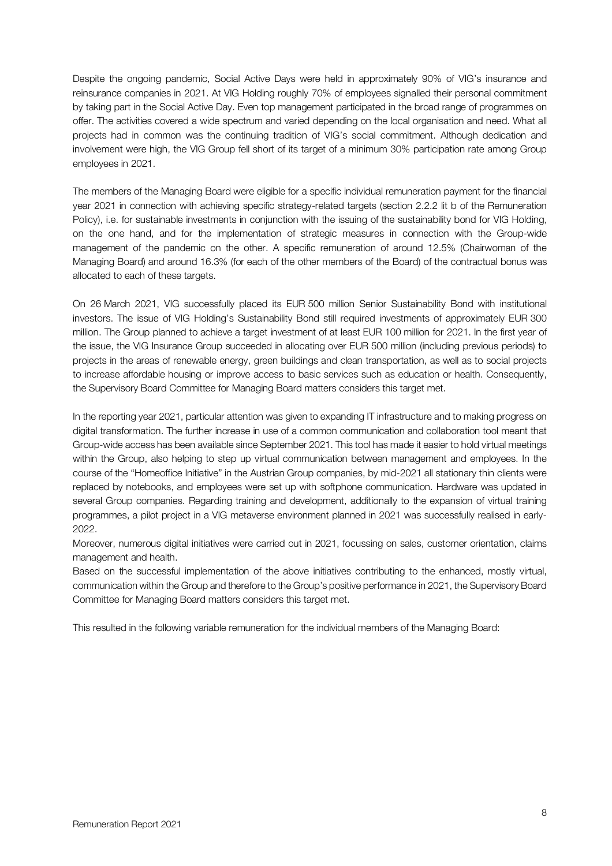Despite the ongoing pandemic, Social Active Days were held in approximately 90% of VIG's insurance and reinsurance companies in 2021. At VIG Holding roughly 70% of employees signalled their personal commitment by taking part in the Social Active Day. Even top management participated in the broad range of programmes on offer. The activities covered a wide spectrum and varied depending on the local organisation and need. What all projects had in common was the continuing tradition of VIG's social commitment. Although dedication and involvement were high, the VIG Group fell short of its target of a minimum 30% participation rate among Group employees in 2021.

The members of the Managing Board were eligible for a specific individual remuneration payment for the financial year 2021 in connection with achieving specific strategy-related targets (section 2.2.2 lit b of the Remuneration Policy), i.e. for sustainable investments in conjunction with the issuing of the sustainability bond for VIG Holding, on the one hand, and for the implementation of strategic measures in connection with the Group-wide management of the pandemic on the other. A specific remuneration of around 12.5% (Chairwoman of the Managing Board) and around 16.3% (for each of the other members of the Board) of the contractual bonus was allocated to each of these targets.

On 26 March 2021, VIG successfully placed its EUR 500 million Senior Sustainability Bond with institutional investors. The issue of VIG Holding's Sustainability Bond still required investments of approximately EUR 300 million. The Group planned to achieve a target investment of at least EUR 100 million for 2021. In the first year of the issue, the VIG Insurance Group succeeded in allocating over EUR 500 million (including previous periods) to projects in the areas of renewable energy, green buildings and clean transportation, as well as to social projects to increase affordable housing or improve access to basic services such as education or health. Consequently, the Supervisory Board Committee for Managing Board matters considers this target met.

In the reporting year 2021, particular attention was given to expanding IT infrastructure and to making progress on digital transformation. The further increase in use of a common communication and collaboration tool meant that Group-wide access has been available since September 2021. This tool has made it easier to hold virtual meetings within the Group, also helping to step up virtual communication between management and employees. In the course of the "Homeoffice Initiative" in the Austrian Group companies, by mid-2021 all stationary thin clients were replaced by notebooks, and employees were set up with softphone communication. Hardware was updated in several Group companies. Regarding training and development, additionally to the expansion of virtual training programmes, a pilot project in a VIG metaverse environment planned in 2021 was successfully realised in early-2022.

Moreover, numerous digital initiatives were carried out in 2021, focussing on sales, customer orientation, claims management and health.

Based on the successful implementation of the above initiatives contributing to the enhanced, mostly virtual, communication within the Group and therefore to the Group's positive performance in 2021, the Supervisory Board Committee for Managing Board matters considers this target met.

This resulted in the following variable remuneration for the individual members of the Managing Board: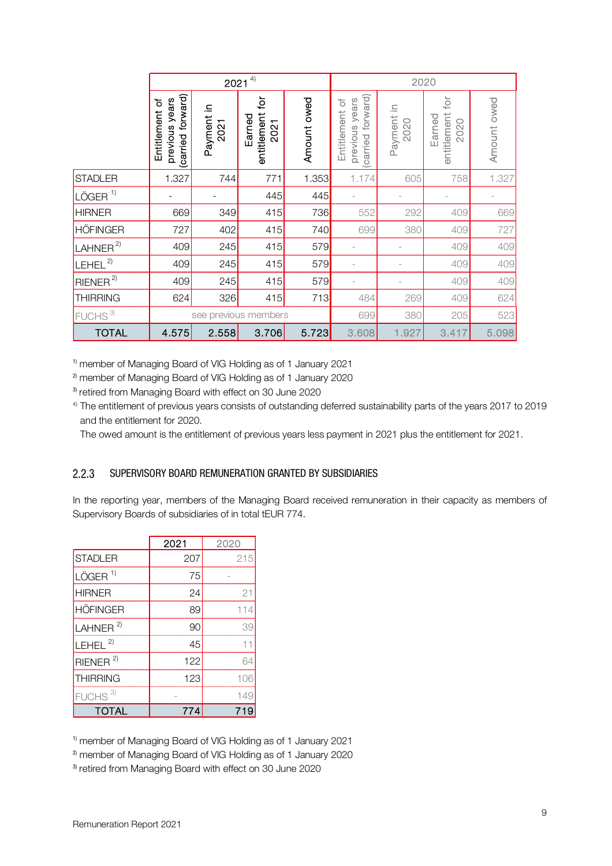|                                                                                                                                                                                                                                                                                                                                                                                                                                                                                                                                                     | $2021^{4}$                                               |                      |                                                        | 2020        |                                                          |                    |                                      |             |
|-----------------------------------------------------------------------------------------------------------------------------------------------------------------------------------------------------------------------------------------------------------------------------------------------------------------------------------------------------------------------------------------------------------------------------------------------------------------------------------------------------------------------------------------------------|----------------------------------------------------------|----------------------|--------------------------------------------------------|-------------|----------------------------------------------------------|--------------------|--------------------------------------|-------------|
|                                                                                                                                                                                                                                                                                                                                                                                                                                                                                                                                                     | forward)<br>previous years<br>Entitlement of<br>(carried | Payment in<br>2021   | ğ<br>entitlement<br>Earned<br>2021                     | Amount owed | forward)<br>previous years<br>Entitlement of<br>(carried | Payment in<br>2020 | tor<br>entitlement<br>Earned<br>2020 | Amount owed |
| <b>STADLER</b>                                                                                                                                                                                                                                                                                                                                                                                                                                                                                                                                      | 1.327                                                    | 744                  | 771                                                    | 1.353       | 1.174                                                    | 605                | 758                                  | 1.327       |
| LÖGER <sup>1)</sup>                                                                                                                                                                                                                                                                                                                                                                                                                                                                                                                                 |                                                          |                      | 445                                                    | 445         |                                                          |                    |                                      |             |
| <b>HIRNER</b>                                                                                                                                                                                                                                                                                                                                                                                                                                                                                                                                       | 669                                                      | 349                  | 415                                                    | 736         | 552                                                      | 292                | 409                                  | 669         |
| <b>HÖFINGER</b>                                                                                                                                                                                                                                                                                                                                                                                                                                                                                                                                     | 727                                                      | 402                  | 415                                                    | 740         | 699                                                      | 380                | 409                                  | 727         |
| LAHNER <sup>2</sup>                                                                                                                                                                                                                                                                                                                                                                                                                                                                                                                                 | 409                                                      | 245                  | 415                                                    | 579         |                                                          |                    | 409                                  | 409         |
| $LEHEL^{2)}$                                                                                                                                                                                                                                                                                                                                                                                                                                                                                                                                        | 409                                                      | 245                  | 415                                                    | 579         |                                                          |                    | 409                                  | 409         |
| RIENER <sup>2</sup>                                                                                                                                                                                                                                                                                                                                                                                                                                                                                                                                 | 409                                                      | 245                  | 415                                                    | 579         |                                                          |                    | 409                                  | 409         |
| <b>THIRRING</b>                                                                                                                                                                                                                                                                                                                                                                                                                                                                                                                                     | 624                                                      | 326                  | 415                                                    | 713         | 484                                                      | 269                | 409                                  | 624         |
| FUCHS <sup>3)</sup>                                                                                                                                                                                                                                                                                                                                                                                                                                                                                                                                 |                                                          |                      | see previous members                                   |             | 699                                                      | 380                | 205                                  | 523         |
| <b>TOTAL</b>                                                                                                                                                                                                                                                                                                                                                                                                                                                                                                                                        | 4.575                                                    | 2.558                | 3.706                                                  | 5.723       | 3.608                                                    | 1.927              | 3.417                                | 5.098       |
| and the entitlement for 2020.<br>The owed amount is the entitlement of previous years less payment in 2021 plus the entitlement for 202                                                                                                                                                                                                                                                                                                                                                                                                             |                                                          |                      |                                                        |             |                                                          |                    |                                      |             |
|                                                                                                                                                                                                                                                                                                                                                                                                                                                                                                                                                     |                                                          |                      | SUPERVISORY BOARD REMUNERATION GRANTED BY SUBSIDIARIES |             |                                                          |                    |                                      |             |
|                                                                                                                                                                                                                                                                                                                                                                                                                                                                                                                                                     | 2021                                                     | 2020                 |                                                        |             |                                                          |                    |                                      |             |
| <b>STADLER</b>                                                                                                                                                                                                                                                                                                                                                                                                                                                                                                                                      | 207                                                      |                      | 215                                                    |             |                                                          |                    |                                      |             |
| LÖGER <sup>1)</sup>                                                                                                                                                                                                                                                                                                                                                                                                                                                                                                                                 |                                                          | 75<br>$\overline{a}$ |                                                        |             |                                                          |                    |                                      |             |
| <sup>1)</sup> member of Managing Board of VIG Holding as of 1 January 2021<br><sup>2)</sup> member of Managing Board of VIG Holding as of 1 January 2020<br><sup>3)</sup> retired from Managing Board with effect on 30 June 2020<br>$4$ ) The entitlement of previous years consists of outstanding deferred sustainability parts of the years 2017 t<br>2.2.3<br>In the reporting year, members of the Managing Board received remuneration in their capacity as mem<br>Supervisory Boards of subsidiaries of in total tEUR 774.<br><b>HIRNER</b> |                                                          | 24                   | 21                                                     |             |                                                          |                    |                                      |             |
| <b>HÖFINGER</b>                                                                                                                                                                                                                                                                                                                                                                                                                                                                                                                                     |                                                          | 89                   | 114                                                    |             |                                                          |                    |                                      |             |
| LAHNER <sup>2)</sup>                                                                                                                                                                                                                                                                                                                                                                                                                                                                                                                                |                                                          | 90                   | 39                                                     |             |                                                          |                    |                                      |             |
| $LEHEL^{2)}$                                                                                                                                                                                                                                                                                                                                                                                                                                                                                                                                        |                                                          | 45                   | 11                                                     |             |                                                          |                    |                                      |             |
| $R$ IENER <sup>2)</sup>                                                                                                                                                                                                                                                                                                                                                                                                                                                                                                                             | 122                                                      |                      | 64                                                     |             |                                                          |                    |                                      |             |
| <b>THIRRING</b>                                                                                                                                                                                                                                                                                                                                                                                                                                                                                                                                     | 123                                                      |                      | 106                                                    |             |                                                          |                    |                                      |             |
| FUCHS <sup>3)</sup><br><b>TOTAL</b>                                                                                                                                                                                                                                                                                                                                                                                                                                                                                                                 | 774                                                      |                      | 149<br>719                                             |             |                                                          |                    |                                      |             |

<sup>4)</sup> The entitlement of previous years consists of outstanding deferred sustainability parts of the years 2017 to 2019 and the entitlement for 2020.

## SUPERVISORY BOARD REMUNERATION GRANTED BY SUBSIDIARIES

In the reporting year, members of the Managing Board received remuneration in their capacity as members of Supervisory Boards of subsidiaries of in total tEUR 774.

|                       | 2021 | 2020 |
|-----------------------|------|------|
| <b>STADLER</b>        | 207  | 215  |
| $LÖGER$ <sup>1)</sup> | 75   |      |
| <b>HIRNER</b>         | 24   | 21   |
| <b>HÖFINGER</b>       | 89   | 114  |
| LAHNER $^{2)}$        | 90   | 39   |
| LEHEL $^{2)}$         | 45   |      |
| RIENER <sup>2</sup>   | 122  | ĥΔ   |
| <b>THIRRING</b>       | 123  | 106  |
| FUCHS <sup>3)</sup>   |      | 149  |
| <b>TOTAL</b>          | 774  |      |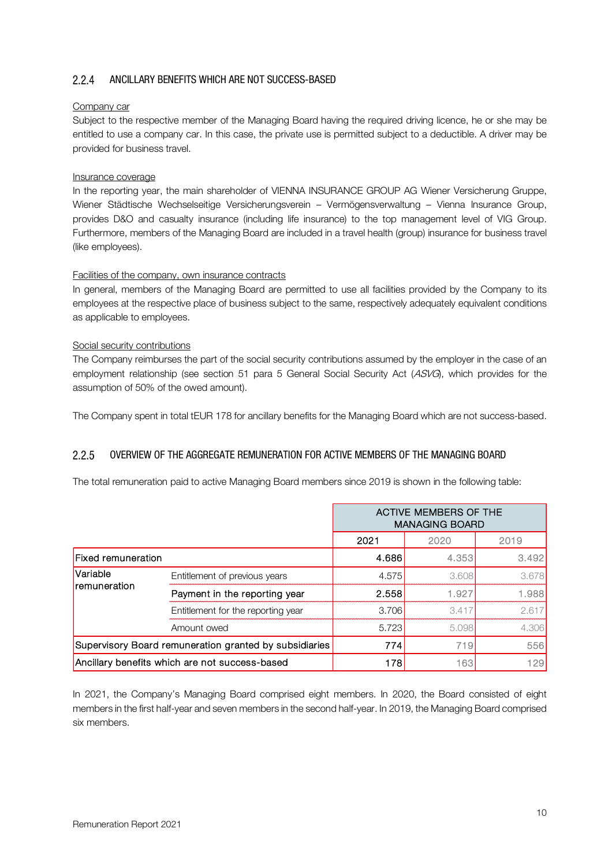#### $2.2.4$ ANCILLARY BENEFITS WHICH ARE NOT SUCCESS-BASED

#### Company car

Subject to the respective member of the Managing Board having the required driving licence, he or she may be entitled to use a company car. In this case, the private use is permitted subject to a deductible. A driver may be provided for business travel.

#### Insurance coverage

In the reporting year, the main shareholder of VIENNA INSURANCE GROUP AG Wiener Versicherung Gruppe, Wiener Städtische Wechselseitige Versicherungsverein – Vermögensverwaltung – Vienna Insurance Group, provides D&O and casualty insurance (including life insurance) to the top management level of VIG Group. Furthermore, members of the Managing Board are included in a travel health (group) insurance for business travel (like employees).

#### Facilities of the company, own insurance contracts

In general, members of the Managing Board are permitted to use all facilities provided by the Company to its employees at the respective place of business subject to the same, respectively adequately equivalent conditions as applicable to employees.

#### Social security contributions

The Company reimburses the part of the social security contributions assumed by the employer in the case of an employment relationship (see section 51 para 5 General Social Security Act (ASVG), which provides for the assumption of 50% of the owed amount).

The Company spent in total tEUR 178 for ancillary benefits for the Managing Board which are not success-based.

#### $2.2.5$ OVERVIEW OF THE AGGREGATE REMUNERATION FOR ACTIVE MEMBERS OF THE MANAGING BOARD

The total remuneration paid to active Managing Board members since 2019 is shown in the following table:

|                    |                                                        | <b>ACTIVE MEMBERS OF THE</b><br><b>MANAGING BOARD</b> |       |       |
|--------------------|--------------------------------------------------------|-------------------------------------------------------|-------|-------|
|                    |                                                        | 2021                                                  | 2020  | 2019  |
| Fixed remuneration | 4.686<br>4.353                                         |                                                       |       | 3.492 |
| Variable           | Entitlement of previous years                          | 4.575                                                 | 3.608 | 3.678 |
| remuneration       | Payment in the reporting year                          | 2.558                                                 | 1.927 | 1.988 |
|                    | Entitlement for the reporting year                     | 3.706                                                 | 3.417 | 2.617 |
|                    | Amount owed                                            | 5.723                                                 | 5.098 | 4.306 |
|                    | Supervisory Board remuneration granted by subsidiaries | 774                                                   | 719   | 556   |
|                    | Ancillary benefits which are not success-based         | 129<br>178<br>163                                     |       |       |

In 2021, the Company's Managing Board comprised eight members. In 2020, the Board consisted of eight members in the first half-year and seven members in the second half-year. In 2019, the Managing Board comprised six members.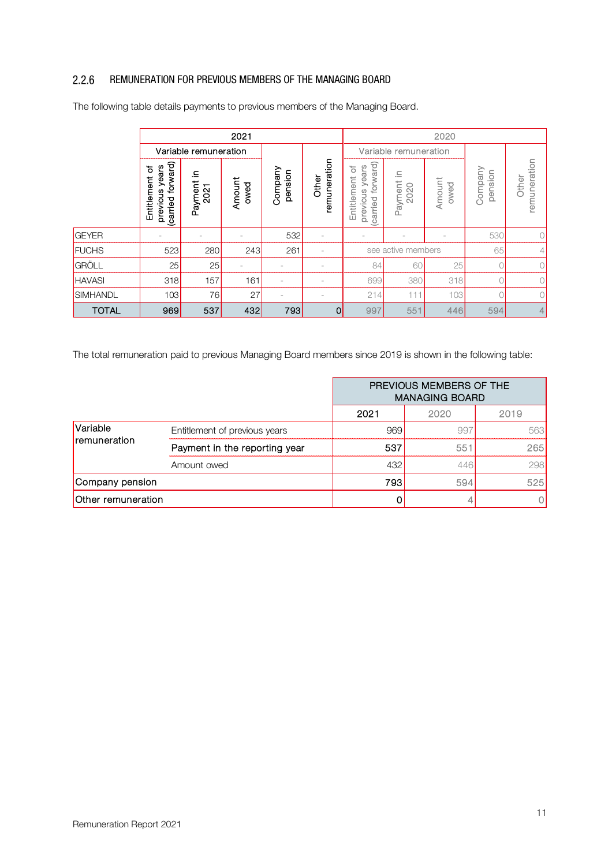#### $2.2.6$ REMUNERATION FOR PREVIOUS MEMBERS OF THE MANAGING BOARD

|                                                                                                            | 2021                                                      |                       |                |                    |                       |                                                            |                       | 2020           |                    |                       |
|------------------------------------------------------------------------------------------------------------|-----------------------------------------------------------|-----------------------|----------------|--------------------|-----------------------|------------------------------------------------------------|-----------------------|----------------|--------------------|-----------------------|
|                                                                                                            |                                                           | Variable remuneration |                |                    |                       | Variable remuneration                                      |                       |                |                    |                       |
|                                                                                                            | forward)<br>previous years<br>৳<br>Entitlement<br>carried | 으.<br>Payment<br>2021 | Amount<br>pewo | Company<br>pension | remuneration<br>Other | forward)<br>previous years<br>ð<br>Entitlement<br>(carried | £.<br>Payment<br>2020 | Amount<br>pewo | Company<br>pension | remuneration<br>Other |
| <b>GEYER</b>                                                                                               |                                                           |                       |                | 532                |                       |                                                            |                       |                | 530                | 0                     |
| <b>FUCHS</b>                                                                                               | 523                                                       | 280                   | 243            | 261                |                       |                                                            | see active members    |                | 65                 | 4                     |
| GRÖLL                                                                                                      | 25                                                        | 25                    |                |                    |                       | 84                                                         | 60                    | 25             | 0                  | 0                     |
| <b>HAVASI</b>                                                                                              | 318                                                       | 157                   | 161            |                    |                       | 699                                                        | 380                   | 318            |                    | 0                     |
| SIMHANDL                                                                                                   | 103                                                       | 76                    | 27             |                    |                       | 214                                                        | 111                   | 103            | 0                  | 0                     |
| <b>TOTAL</b>                                                                                               | 969                                                       | 537                   | 432            | 793                | $\overline{0}$        | 997                                                        | 551                   | 446            | 594                | 4                     |
| The total remuneration paid to previous Managing Board members since 2019 is shown in the following table: |                                                           |                       |                |                    |                       |                                                            |                       |                |                    |                       |

The following table details payments to previous members of the Managing Board.

|                    |                               | PREVIOUS MEMBERS OF THE<br><b>MANAGING BOARD</b> |      |      |
|--------------------|-------------------------------|--------------------------------------------------|------|------|
|                    |                               | 2021                                             | 2020 | 2019 |
| Variable           | Entitlement of previous years | 969                                              | 997  | 563  |
| remuneration       | Payment in the reporting year | 537                                              | 551  | 265  |
|                    | Amount owed                   | 432                                              | 446  | 298  |
| Company pension    |                               | 793                                              | 594  | 525  |
| Other remuneration |                               |                                                  |      |      |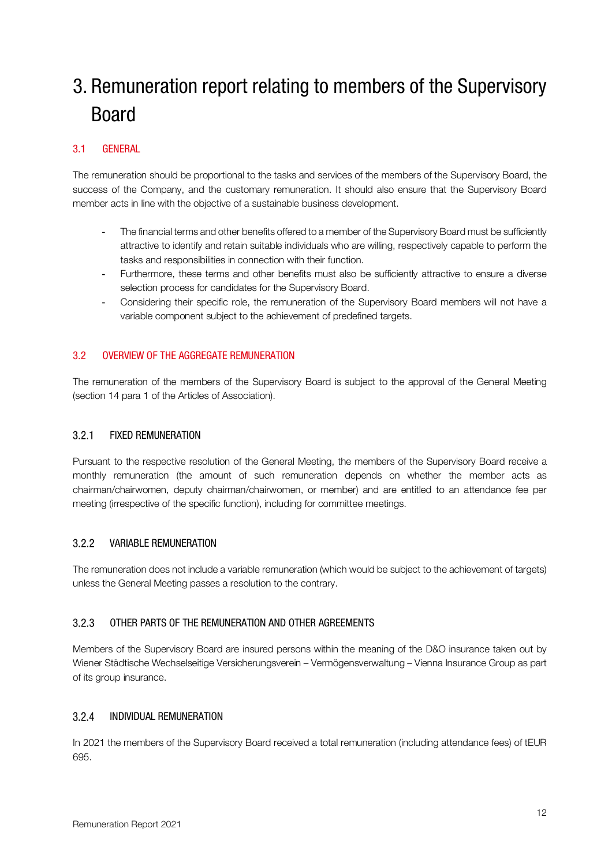# 3. Remuneration report relating to members of the Supervisory Board

## 3.1 GENERAL

The remuneration should be proportional to the tasks and services of the members of the Supervisory Board, the success of the Company, and the customary remuneration. It should also ensure that the Supervisory Board member acts in line with the objective of a sustainable business development.

- The financial terms and other benefits offered to a member of the Supervisory Board must be sufficiently attractive to identify and retain suitable individuals who are willing, respectively capable to perform the tasks and responsibilities in connection with their function.
- Furthermore, these terms and other benefits must also be sufficiently attractive to ensure a diverse selection process for candidates for the Supervisory Board.
- Considering their specific role, the remuneration of the Supervisory Board members will not have a variable component subject to the achievement of predefined targets.

## 3.2 OVERVIEW OF THE AGGREGATE REMUNERATION

The remuneration of the members of the Supervisory Board is subject to the approval of the General Meeting (section 14 para 1 of the Articles of Association).

#### $3.2.1$ FIXED REMUNERATION

Pursuant to the respective resolution of the General Meeting, the members of the Supervisory Board receive a monthly remuneration (the amount of such remuneration depends on whether the member acts as chairman/chairwomen, deputy chairman/chairwomen, or member) and are entitled to an attendance fee per meeting (irrespective of the specific function), including for committee meetings.

#### $3.2.2$ VARIABLE REMUNERATION

The remuneration does not include a variable remuneration (which would be subject to the achievement of targets) unless the General Meeting passes a resolution to the contrary.

#### OTHER PARTS OF THE REMUNERATION AND OTHER AGREEMENTS  $3.2.3$

Members of the Supervisory Board are insured persons within the meaning of the D&O insurance taken out by Wiener Städtische Wechselseitige Versicherungsverein – Vermögensverwaltung – Vienna Insurance Group as part of its group insurance.

#### $324$ INDIVIDUAL REMUNERATION

In 2021 the members of the Supervisory Board received a total remuneration (including attendance fees) of tEUR 695.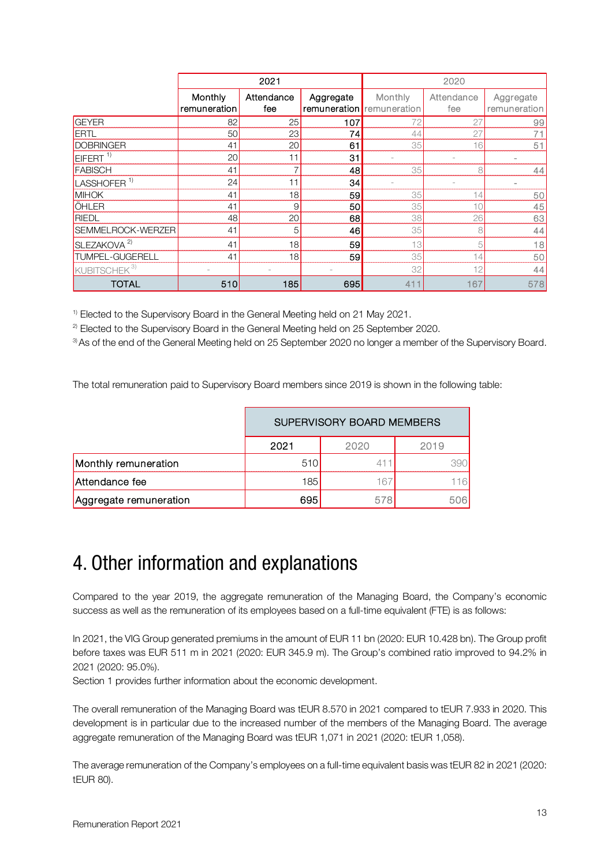|                          | 2021                    |                   |           | 2020                                 |                   |                           |
|--------------------------|-------------------------|-------------------|-----------|--------------------------------------|-------------------|---------------------------|
|                          | Monthly<br>remuneration | Attendance<br>fee | Aggregate | Monthly<br>remuneration remuneration | Attendance<br>fee | Aggregate<br>remuneration |
| GEYER                    | 82                      | 25                | 107       | 72                                   | 27                | 99                        |
| <b>ERTL</b>              | 50                      | 23                | 74        | 44                                   | 27                | 71                        |
| <b>DOBRINGER</b>         | 41                      | 20                | 61        | 35                                   | 16                | 51                        |
| EIFERT <sup>1)</sup>     | 20                      | 11                | 31        | $\overline{\phantom{a}}$             |                   |                           |
| FABISCH                  | 41                      |                   | 48        | 35                                   | 8                 | 44                        |
| LASSHOFER <sup>1)</sup>  | 24                      | 11                | 34        |                                      |                   |                           |
| <b>MIHOK</b>             | 41                      | 18                | 59        | 35                                   | 14                | 50                        |
| ÖHLER                    | 41                      | 9                 | 50        | 35                                   | 10                | 45                        |
| RIEDL                    | 48                      | 20                | 68        | 38                                   | 26                | 63                        |
| SEMMELROCK-WERZER        | 41                      | 5                 | 46        | 35                                   | 8                 | 44                        |
| SLEZAKOVA <sup>2)</sup>  | 41                      | 18                | 59        | 13                                   | 5                 | 18                        |
| TUMPEL-GUGERELL          | 41                      | 18                | 59        | 35                                   | 14                | 50                        |
| KUBITSCHEK <sup>3)</sup> |                         |                   |           | 32                                   | 12                | 44                        |
| <b>TOTAL</b>             | 510                     | 185               | 695       | 411                                  | 167               | 578                       |

<sup>1)</sup> Elected to the Supervisory Board in the General Meeting held on 21 May 2021.

<sup>2)</sup> Elected to the Supervisory Board in the General Meeting held on 25 September 2020.

3) As of the end of the General Meeting held on 25 September 2020 no longer a member of the Supervisory Board.

The total remuneration paid to Supervisory Board members since 2019 is shown in the following table:

|                        | SUPERVISORY BOARD MEMBERS |          |     |  |  |  |
|------------------------|---------------------------|----------|-----|--|--|--|
|                        | 2021<br>2019<br>2020      |          |     |  |  |  |
| Monthly remuneration   | 510                       | 41       |     |  |  |  |
| Attendance fee         | 185                       | $16^{-}$ |     |  |  |  |
| Aggregate remuneration | 695                       | 578      | 506 |  |  |  |

## 4. Other information and explanations

Compared to the year 2019, the aggregate remuneration of the Managing Board, the Company's economic success as well as the remuneration of its employees based on a full-time equivalent (FTE) is as follows:

In 2021, the VIG Group generated premiums in the amount of EUR 11 bn (2020: EUR 10.428 bn). The Group profit before taxes was EUR 511 m in 2021 (2020: EUR 345.9 m). The Group's combined ratio improved to 94.2% in 2021 (2020: 95.0%).

Section 1 provides further information about the economic development.

The overall remuneration of the Managing Board was tEUR 8.570 in 2021 compared to tEUR 7.933 in 2020. This development is in particular due to the increased number of the members of the Managing Board. The average aggregate remuneration of the Managing Board was tEUR 1,071 in 2021 (2020: tEUR 1,058).

The average remuneration of the Company's employees on a full-time equivalent basis was tEUR 82 in 2021 (2020: tEUR 80).